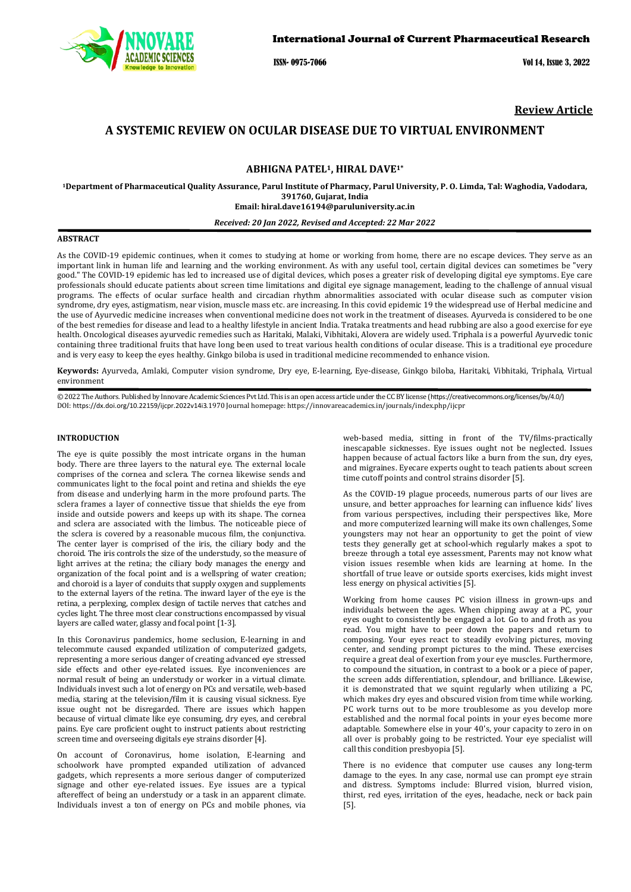

ISSN- 0975-7066 Vol 14, Issue 3, 2022

**Review Article**

# **A SYSTEMIC REVIEW ON OCULAR DISEASE DUE TO VIRTUAL ENVIRONMENT**

# **ABHIGNA PATEL1, HIRAL DAVE1\***

**1Department of Pharmaceutical Quality Assurance, Parul Institute of Pharmacy, Parul University, P. O. Limda, Tal: Waghodia, Vadodara, 391760, Gujarat, India Email[: hiral.dave16194@paruluniversity.ac.in](mailto:hiral.dave16194@paruluniversity.ac.in)**

### *Received: 20 Jan 2022, Revised and Accepted: 22 Mar 2022*

# **ABSTRACT**

As the COVID-19 epidemic continues, when it comes to studying at home or working from home, there are no escape devices. They serve as an important link in human life and learning and the working environment. As with any useful tool, certain digital devices can sometimes be "very good." The COVID-19 epidemic has led to increased use of digital devices, which poses a greater risk of developing digital eye symptoms. Eye care professionals should educate patients about screen time limitations and digital eye signage management, leading to the challenge of annual visual programs. The effects of ocular surface health and circadian rhythm abnormalities associated with ocular disease such as computer vision syndrome, dry eyes, astigmatism, near vision, muscle mass etc. are increasing. In this covid epidemic 19 the widespread use of Herbal medicine and the use of Ayurvedic medicine increases when conventional medicine does not work in the treatment of diseases. Ayurveda is considered to be one of the best remedies for disease and lead to a healthy lifestyle in ancient India. Trataka treatments and head rubbing are also a good exercise for eye health. Oncological diseases ayurvedic remedies such as Haritaki, Malaki, Vibhitaki, Alovera are widely used. Triphala is a powerful Ayurvedic tonic containing three traditional fruits that have long been used to treat various health conditions of ocular disease. This is a traditional eye procedure and is very easy to keep the eyes healthy. Ginkgo biloba is used in traditional medicine recommended to enhance vision.

**Keywords:** Ayurveda, Amlaki, Computer vision syndrome, Dry eye, E-learning, Eye-disease, Ginkgo biloba, Haritaki, Vibhitaki, Triphala, Virtual environment

© 2022 The Authors. Published by Innovare Academic Sciences Pvt Ltd. This is an open access article under the CC BY license (<https://creativecommons.org/licenses/by/4.0/>) DOI: <https://dx.doi.org/10.22159/ijcpr.2022v14i3>.1970 Journal homepage[: https://innovareacademics.in/journals/index.php/ijcpr](https://innovareacademics.in/journals/index.php/ijcpr)

# **INTRODUCTION**

The eye is quite possibly the most intricate organs in the human body. There are three layers to the natural eye. The external locale comprises of the cornea and sclera. The cornea likewise sends and communicates light to the focal point and retina and shields the eye from disease and underlying harm in the more profound parts. The sclera frames a layer of connective tissue that shields the eye from inside and outside powers and keeps up with its shape. The cornea and sclera are associated with the limbus. The noticeable piece of the sclera is covered by a reasonable mucous film, the conjunctiva. The center layer is comprised of the iris, the ciliary body and the choroid. The iris controls the size of the understudy, so the measure of light arrives at the retina; the ciliary body manages the energy and organization of the focal point and is a wellspring of water creation; and choroid is a layer of conduits that supply oxygen and supplements to the external layers of the retina. The inward layer of the eye is the retina, a perplexing, complex design of tactile nerves that catches and cycles light. The three most clear constructions encompassed by visual layers are called water, glassy and focal point [1-3].

In this Coronavirus pandemics, home seclusion, E-learning in and telecommute caused expanded utilization of computerized gadgets, representing a more serious danger of creating advanced eye stressed side effects and other eye-related issues. Eye inconveniences are normal result of being an understudy or worker in a virtual climate. Individuals invest such a lot of energy on PCs and versatile, web-based media, staring at the television/film it is causing visual sickness. Eye issue ought not be disregarded. There are issues which happen because of virtual climate like eye consuming, dry eyes, and cerebral pains. Eye care proficient ought to instruct patients about restricting screen time and overseeing digitals eye strains disorder [4].

On account of Coronavirus, home isolation, E-learning and schoolwork have prompted expanded utilization of advanced gadgets, which represents a more serious danger of computerized signage and other eye-related issues. Eye issues are a typical aftereffect of being an understudy or a task in an apparent climate. Individuals invest a ton of energy on PCs and mobile phones, via

web-based media, sitting in front of the TV/films-practically inescapable sicknesses. Eye issues ought not be neglected. Issues happen because of actual factors like a burn from the sun, dry eyes, and migraines. Eyecare experts ought to teach patients about screen time cutoff points and control strains disorder [5].

As the COVID-19 plague proceeds, numerous parts of our lives are unsure, and better approaches for learning can influence kids' lives from various perspectives, including their perspectives like, More and more computerized learning will make its own challenges, Some youngsters may not hear an opportunity to get the point of view tests they generally get at school-which regularly makes a spot to breeze through a total eye assessment, Parents may not know what vision issues resemble when kids are learning at home. In the shortfall of true leave or outside sports exercises, kids might invest less energy on physical activities [5].

Working from home causes PC vision illness in grown-ups and individuals between the ages. When chipping away at a PC, your eyes ought to consistently be engaged a lot. Go to and froth as you read. You might have to peer down the papers and return to composing. Your eyes react to steadily evolving pictures, moving center, and sending prompt pictures to the mind. These exercises require a great deal of exertion from your eye muscles. Furthermore, to compound the situation, in contrast to a book or a piece of paper, the screen adds differentiation, splendour, and brilliance. Likewise, it is demonstrated that we squint regularly when utilizing a PC, which makes dry eyes and obscured vision from time while working. PC work turns out to be more troublesome as you develop more established and the normal focal points in your eyes become more adaptable. Somewhere else in your 40's, your capacity to zero in on all over is probably going to be restricted. Your eye specialist will call this condition presbyopia [5].

There is no evidence that computer use causes any long-term damage to the eyes. In any case, normal use can prompt eye strain and distress. Symptoms include: Blurred vision, blurred vision, thirst, red eyes, irritation of the eyes, headache, neck or back pain [5].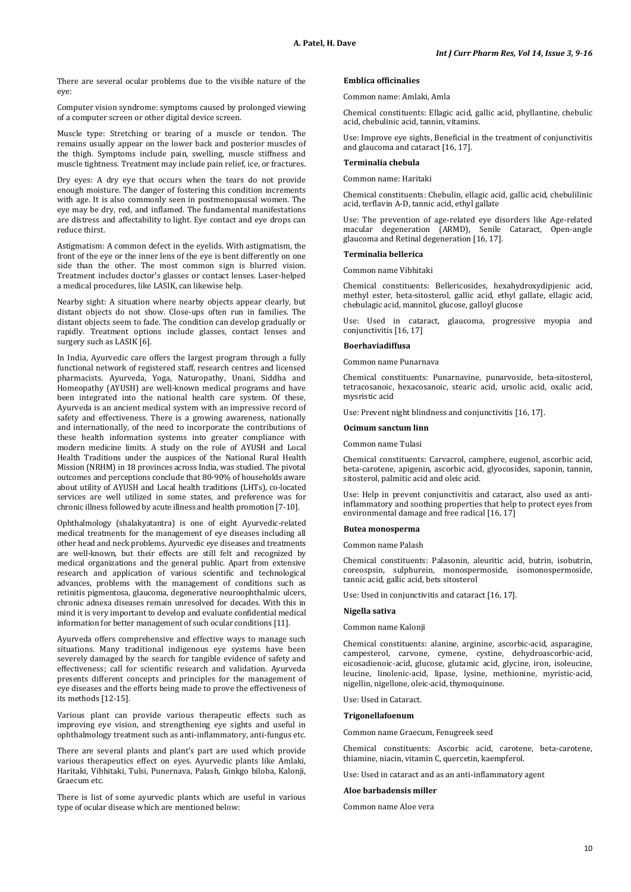There are several ocular problems due to the visible nature of the eye:

Computer vision syndrome: symptoms caused by prolonged viewing of a computer screen or other digital device screen.

Muscle type: Stretching or tearing of a muscle or tendon. The remains usually appear on the lower back and posterior muscles of the thigh. Symptoms include pain, swelling, muscle stiffness and muscle tightness. Treatment may include pain relief, ice, or fractures.

Dry eyes: A dry eye that occurs when the tears do not provide enough moisture. The danger of fostering this condition increments with age. It is also commonly seen in postmenopausal women. The eye may be dry, red, and inflamed. The fundamental manifestations are distress and affectability to light. Eye contact and eye drops can reduce thirst.

Astigmatism: A common defect in the eyelids. With astigmatism, the front of the eye or the inner lens of the eye is bent differently on one side than the other. The most common sign is blurred vision. Treatment includes doctor's glasses or contact lenses. Laser-helped a medical procedures, like LASIK, can likewise help.

Nearby sight: A situation where nearby objects appear clearly, but distant objects do not show. Close-ups often run in families. The distant objects seem to fade. The condition can develop gradually or rapidly. Treatment options include glasses, contact lenses and surgery such as LASIK [6].

In India, Ayurvedic care offers the largest program through a fully functional network of registered staff, research centres and licensed pharmacists. Ayurveda, Yoga, Naturopathy, Unani, Siddha and Homeopathy (AYUSH) are well-known medical programs and have been integrated into the national health care system. Of these, Ayurveda is an ancient medical system with an impressive record of safety and effectiveness. There is a growing awareness, nationally and internationally, of the need to incorporate the contributions of these health information systems into greater compliance with modern medicine limits. A study on the role of AYUSH and Local Health Traditions under the auspices of the National Rural Health Mission (NRHM) in 18 provinces across India, was studied. The pivotal outcomes and perceptions conclude that 80-90% of households aware about utility of AYUSH and Local health traditions (LHTs), co-located services are well utilized in some states, and preference was for chronic illness followed by acute illness and health promotion [7-10].

Ophthalmology (shalakyatantra) is one of eight Ayurvedic-related medical treatments for the management of eye diseases including all other head and neck problems. Ayurvedic eye diseases and treatments are well-known, but their effects are still felt and recognized by medical organizations and the general public. Apart from extensive research and application of various scientific and technological advances, problems with the management of conditions such as retinitis pigmentosa, glaucoma, degenerative neuroophthalmic ulcers, chronic adnexa diseases remain unresolved for decades. With this in mind it is very important to develop and evaluate confidential medical information for better management of such ocular conditions [11].

Ayurveda offers comprehensive and effective ways to manage such situations. Many traditional indigenous eye systems have been severely damaged by the search for tangible evidence of safety and effectiveness; call for scientific research and validation. Ayurveda presents different concepts and principles for the management of eye diseases and the efforts being made to prove the effectiveness of its methods [12-15].

Various plant can provide various therapeutic effects such as improving eye vision, and strengthening eye sights and useful in ophthalmology treatment such as anti-inflammatory, anti-fungus etc.

There are several plants and plant's part are used which provide various therapeutics effect on eyes. Ayurvedic plants like Amlaki, Haritaki, Vibhitaki, Tulsi, Punernava, Palash, Ginkgo biloba, Kalonji, Graecum etc.

There is list of some ayurvedic plants which are useful in various type of ocular disease which are mentioned below:

# **Emblica officinalies**

Common name: Amlaki, Amla

Chemical constituents: Ellagic acid, gallic acid, phyllantine, chebulic acid, chebulinic acid, tannin, vitamins.

Use: Improve eye sights, Beneficial in the treatment of conjunctivitis and glaucoma and cataract [16, 17].

### **Terminalia chebula**

Common name: Haritaki

Chemical constituents: Chebulin, ellagic acid, gallic acid, chebulilinic acid, terflavin A-D, tannic acid, ethyl gallate

Use: The prevention of age-related eye disorders like Age-related macular degeneration (ARMD), Senile Cataract, Open-angle glaucoma and Retinal degeneration [16, 17].

### **Terminalia bellerica**

Common name Vibhitaki

Chemical constituents: Bellericosides, hexahydroxydipjenic acid, methyl ester, beta-sitosterol, gallic acid, ethyl gallate, ellagic acid, chebulagic acid, mannitol, glucose, galloyl glucose

Use: Used in cataract, glaucoma, progressive myopia and conjunctivitis [16, 17]

### **Boerhaviadiffusa**

Common name Punarnava

Chemical constituents: Punarnavine, punarvoside, beta-sitosterol, tetracosanoic, hexacosanoic, stearic acid, ursolic acid, oxalic acid, mysristic acid

Use: Prevent night blindness and conjunctivitis [16, 17].

# **Ocimum sanctum linn**

Common name Tulasi

Chemical constituents: Carvacrol, camphere, eugenol, ascorbic acid, beta-carotene, apigenin, ascorbic acid, glyocosides, saponin, tannin, sitosterol, palmitic acid and oleic acid.

Use: Help in prevent conjunctivitis and cataract, also used as antiinflammatory and soothing properties that help to protect eyes from environmental damage and free radical [16, 17]

## **Butea monosperma**

Common name Palash

Chemical constituents: Palasonin, aleuritic acid, butrin, isobutrin, coreospsin, sulphurein, monospermoside, isomonospermoside, tannic acid, gallic acid, bets sitosterol

Use: Used in conjunctivitis and cataract [16, 17].

#### **Nigella sativa**

Common name Kalonji

Chemical constituents: alanine, arginine, ascorbic-acid, asparagine, campesterol, carvone, cymene, cystine, dehydroascorbic-acid, eicosadienoic-acid, glucose, glutamic acid, glycine, iron, isoleucine, leucine, linolenic-acid, lipase, lysine, methionine, myristic-acid, nigellin, nigellone, oleic-acid, thymoquinone.

Use: Used in Cataract.

### **Trigonellafoenum**

Common name Graecum, Fenugreek seed

Chemical constituents: Ascorbic acid, carotene, beta-carotene, thiamine, niacin, vitamin C, quercetin, kaempferol.

Use: Used in cataract and as an anti-inflammatory agent

#### **Aloe barbadensis miller**

Common name Aloe vera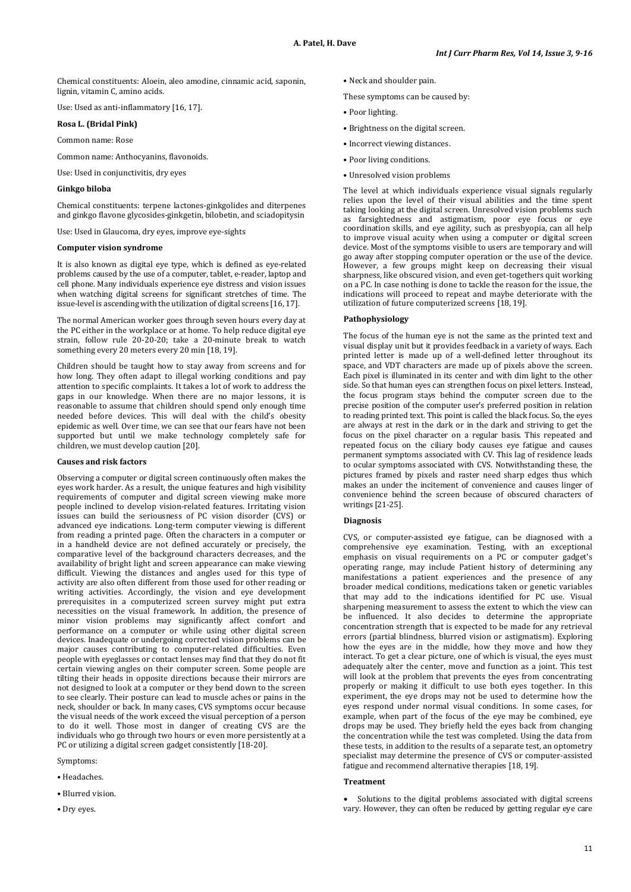Chemical constituents: Aloein, aleo amodine, cinnamic acid, saponin, lignin, vitamin C, amino acids.

Use: Used as anti-inflammatory [16, 17].

# **Rosa L. (Bridal Pink)**

Common name: Rose

Common name: Anthocyanins, flavonoids.

Use: Used in conjunctivitis, dry eyes

## **Ginkgo biloba**

Chemical constituents: terpene lactones-ginkgolides and diterpenes and ginkgo flavone glycosides-ginkgetin, bilobetin, and sciadopitysin

Use: Used in Glaucoma, dry eyes, improve eye-sights

### **Computer vision syndrome**

It is also known as digital eye type, which is defined as eye-related problems caused by the use of a computer, tablet, e-reader, laptop and cell phone. Many individuals experience eye distress and vision issues when watching digital screens for significant stretches of time. The issue-level is ascending with the utilization of digital screens [16, 17].

The normal American worker goes through seven hours every day at the PC either in the workplace or at home. To help reduce digital eye strain, follow rule 20-20-20; take a 20-minute break to watch something every 20 meters every 20 min [18, 19].

Children should be taught how to stay away from screens and for how long. They often adapt to illegal working conditions and pay attention to specific complaints. It takes a lot of work to address the gaps in our knowledge. When there are no major lessons, it is reasonable to assume that children should spend only enough time needed before devices. This will deal with the child's obesity epidemic as well. Over time, we can see that our fears have not been supported but until we make technology completely safe for children, we must develop caution [20].

### **Causes and risk factors**

Observing a computer or digital screen continuously often makes the eyes work harder. As a result, the unique features and high visibility requirements of computer and digital screen viewing make more people inclined to develop vision-related features. Irritating vision issues can build the seriousness of PC vision disorder (CVS) or advanced eye indications. Long-term computer viewing is different from reading a printed page. Often the characters in a computer or in a handheld device are not defined accurately or precisely, the comparative level of the background characters decreases, and the availability of bright light and screen appearance can make viewing difficult. Viewing the distances and angles used for this type of activity are also often different from those used for other reading or writing activities. Accordingly, the vision and eye development prerequisites in a computerized screen survey might put extra necessities on the visual framework. In addition, the presence of minor vision problems may significantly affect comfort and performance on a computer or while using other digital screen devices. Inadequate or undergoing corrected vision problems can be major causes contributing to computer-related difficulties. Even people with eyeglasses or contact lenses may find that they do not fit certain viewing angles on their computer screen. Some people are tilting their heads in opposite directions because their mirrors are not designed to look at a computer or they bend down to the screen to see clearly. Their posture can lead to muscle aches or pains in the neck, shoulder or back. In many cases, CVS symptoms occur because the visual needs of the work exceed the visual perception of a person to do it well. Those most in danger of creating CVS are the individuals who go through two hours or even more persistently at a PC or utilizing a digital screen gadget consistently [18-20].

- Symptoms:
- Headaches.
- Blurred vision.
- Dry eyes.

• Neck and shoulder pain.

These symptoms can be caused by:

- Poor lighting.
- Brightness on the digital screen.
- Incorrect viewing distances.
- Poor living conditions.
- Unresolved vision problems

The level at which individuals experience visual signals regularly relies upon the level of their visual abilities and the time spent taking looking at the digital screen. Unresolved vision problems such as farsightedness and astigmatism, poor eye focus or eye coordination skills, and eye agility, such as presbyopia, can all help to improve visual acuity when using a computer or digital screen device. Most of the symptoms visible to users are temporary and will go away after stopping computer operation or the use of the device. However, a few groups might keep on decreasing their visual sharpness, like obscured vision, and even get-togethers quit working on a PC. In case nothing is done to tackle the reason for the issue, the indications will proceed to repeat and maybe deteriorate with the utilization of future computerized screens [18, 19].

# **Pathophysiology**

The focus of the human eye is not the same as the printed text and visual display unit but it provides feedback in a variety of ways. Each printed letter is made up of a well-defined letter throughout its space, and VDT characters are made up of pixels above the screen. Each pixel is illuminated in its center and with dim light to the other side. So that human eyes can strengthen focus on pixel letters. Instead, the focus program stays behind the computer screen due to the precise position of the computer user's preferred position in relation to reading printed text. This point is called the black focus. So, the eyes are always at rest in the dark or in the dark and striving to get the focus on the pixel character on a regular basis. This repeated and repeated focus on the ciliary body causes eye fatigue and causes permanent symptoms associated with CV. This lag of residence leads to ocular symptoms associated with CVS. Notwithstanding these, the pictures framed by pixels and raster need sharp edges thus which makes an under the incitement of convenience and causes linger of convenience behind the screen because of obscured characters of writings [21-25].

# **Diagnosis**

CVS, or computer-assisted eye fatigue, can be diagnosed with a comprehensive eye examination. Testing, with an exceptional emphasis on visual requirements on a PC or computer gadget's operating range, may include Patient history of determining any manifestations a patient experiences and the presence of any broader medical conditions, medications taken or genetic variables that may add to the indications identified for PC use. Visual sharpening measurement to assess the extent to which the view can be influenced. It also decides to determine the appropriate concentration strength that is expected to be made for any retrieval errors (partial blindness, blurred vision or astigmatism). Exploring how the eyes are in the middle, how they move and how they interact. To get a clear picture, one of which is visual, the eyes must adequately alter the center, move and function as a joint. This test will look at the problem that prevents the eyes from concentrating properly or making it difficult to use both eyes together. In this experiment, the eye drops may not be used to determine how the eyes respond under normal visual conditions. In some cases, for example, when part of the focus of the eye may be combined, eye drops may be used. They briefly held the eyes back from changing the concentration while the test was completed. Using the data from these tests, in addition to the results of a separate test, an optometry specialist may determine the presence of CVS or computer-assisted fatigue and recommend alternative therapies [18, 19].

# **Treatment**

Solutions to the digital problems associated with digital screens vary. However, they can often be reduced by getting regular eye care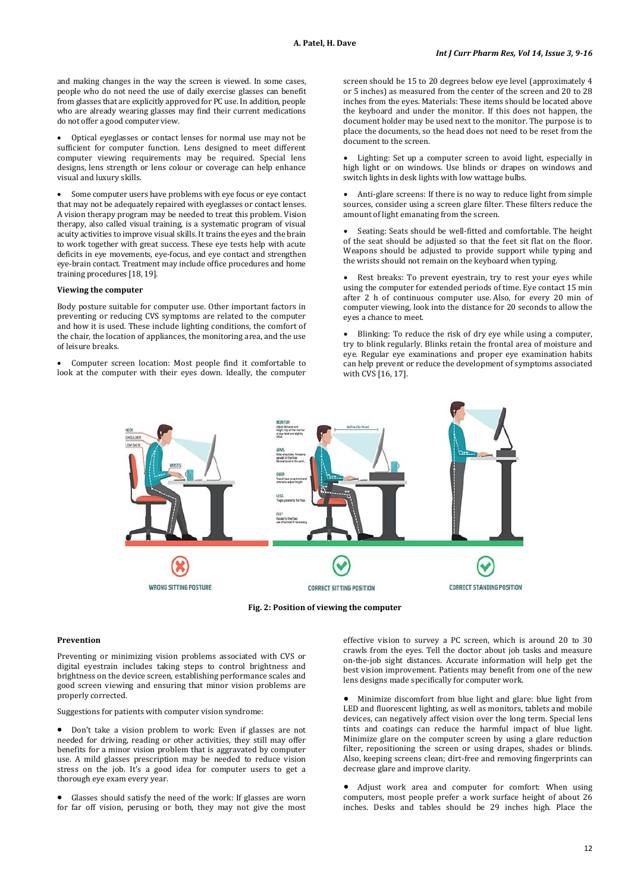and making changes in the way the screen is viewed. In some cases, people who do not need the use of daily exercise glasses can benefit from glasses that are explicitly approved for PC use. In addition, people who are already wearing glasses may find their current medications do not offer a good computer view.

• Optical eyeglasses or contact lenses for normal use may not be sufficient for computer function. Lens designed to meet different computer viewing requirements may be required. Special lens designs, lens strength or lens colour or coverage can help enhance visual and luxury skills.

Some computer users have problems with eye focus or eye contact that may not be adequately repaired with eyeglasses or contact lenses. A vision therapy program may be needed to treat this problem. Vision therapy, also called visual training, is a systematic program of visual acuity activities to improve visual skills. It trains the eyes and the brain to work together with great success. These eye tests help with acute deficits in eye movements, eye-focus, and eye contact and strengthen eye-brain contact. Treatment may include office procedures and home training procedures [18, 19].

#### **Viewing the computer**

Body posture suitable for computer use. Other important factors in preventing or reducing CVS symptoms are related to the computer and how it is used. These include lighting conditions, the comfort of the chair, the location of appliances, the monitoring area, and the use of leisure breaks.

• Computer screen location: Most people find it comfortable to look at the computer with their eyes down. Ideally, the computer screen should be 15 to 20 degrees below eye level (approximately 4 or 5 inches) as measured from the center of the screen and 20 to 28 inches from the eyes. Materials: These items should be located above the keyboard and under the monitor. If this does not happen, the document holder may be used next to the monitor. The purpose is to place the documents, so the head does not need to be reset from the document to the screen.

• Lighting: Set up a computer screen to avoid light, especially in high light or on windows. Use blinds or drapes on windows and switch lights in desk lights with low wattage bulbs.

• Anti-glare screens: If there is no way to reduce light from simple sources, consider using a screen glare filter. These filters reduce the amount of light emanating from the screen.

Seating: Seats should be well-fitted and comfortable. The height of the seat should be adjusted so that the feet sit flat on the floor. Weapons should be adjusted to provide support while typing and the wrists should not remain on the keyboard when typing.

Rest breaks: To prevent eyestrain, try to rest your eyes while using the computer for extended periods of time. Eye contact 15 min after 2 h of continuous computer use. Also, for every 20 min of computer viewing, look into the distance for 20 seconds to allow the eyes a chance to meet.

• Blinking: To reduce the risk of dry eye while using a computer, try to blink regularly. Blinks retain the frontal area of moisture and eye. Regular eye examinations and proper eye examination habits can help prevent or reduce the development of symptoms associated with CVS [16, 17].



**Fig. 2: Position of viewing the computer**

### **Prevention**

Preventing or minimizing vision problems associated with CVS or digital eyestrain includes taking steps to control brightness and brightness on the device screen, establishing performance scales and good screen viewing and ensuring that minor vision problems are properly corrected.

Suggestions for patients with computer vision syndrome:

• Don't take a vision problem to work: Even if glasses are not needed for driving, reading or other activities, they still may offer benefits for a minor vision problem that is aggravated by computer use. A mild glasses prescription may be needed to reduce vision stress on the job. It's a good idea for computer users to get a thorough eye exam every year.

Glasses should satisfy the need of the work: If glasses are worn for far off vision, perusing or both, they may not give the most effective vision to survey a PC screen, which is around 20 to 30 crawls from the eyes. Tell the doctor about job tasks and measure on-the-job sight distances. Accurate information will help get the best vision improvement. Patients may benefit from one of the new lens designs made specifically for computer work.

• Minimize discomfort from blue light and glare: blue light from LED and fluorescent lighting, as well as monitors, tablets and mobile devices, can negatively affect vision over the long term. Special lens tints and coatings can reduce the harmful impact of blue light. Minimize glare on the computer screen by using a glare reduction filter, repositioning the screen or using drapes, shades or blinds. Also, keeping screens clean; dirt-free and removing fingerprints can decrease glare and improve clarity.

• Adjust work area and computer for comfort: When using computers, most people prefer a work surface height of about 26 inches. Desks and tables should be 29 inches high. Place the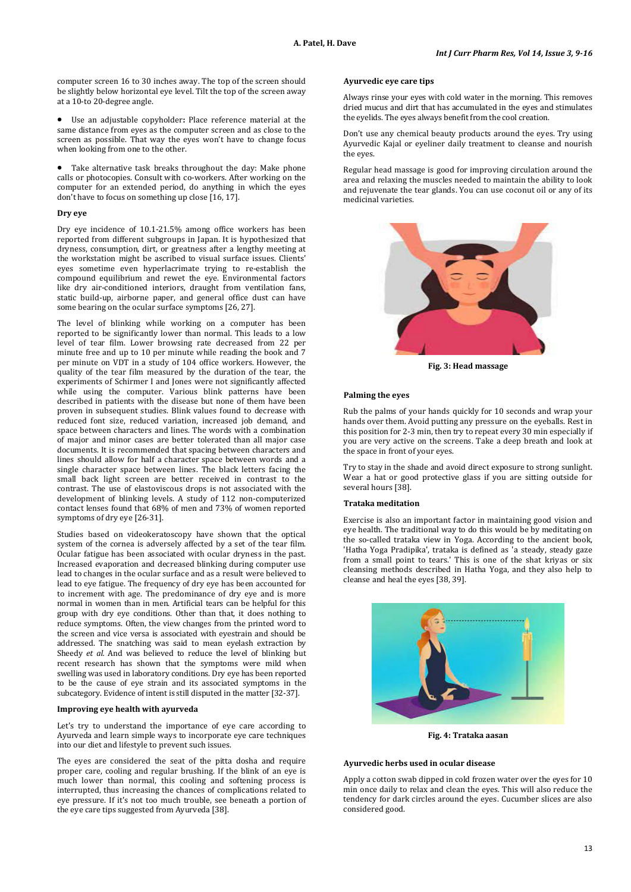computer screen 16 to 30 inches away. The top of the screen should be slightly below horizontal eye level. Tilt the top of the screen away at a 10-to 20-degree angle.

• Use an adjustable copyholder**:** Place reference material at the same distance from eyes as the computer screen and as close to the screen as possible. That way the eyes won't have to change focus when looking from one to the other.

Take alternative task breaks throughout the day: Make phone calls or photocopies. Consult with co-workers. After working on the computer for an extended period, do anything in which the eyes don't have to focus on something up close [16, 17].

### **Dry eye**

Dry eye incidence of 10.1-21.5% among office workers has been reported from different subgroups in Japan. It is hypothesized that dryness, consumption, dirt, or greatness after a lengthy meeting at the workstation might be ascribed to visual surface issues. Clients' eyes sometime even hyperlacrimate trying to re-establish the compound equilibrium and rewet the eye. Environmental factors like dry air-conditioned interiors, draught from ventilation fans, static build-up, airborne paper, and general office dust can have some bearing on the ocular surface symptoms [26, 27].

The level of blinking while working on a computer has been reported to be significantly lower than normal. This leads to a low level of tear film. Lower browsing rate decreased from 22 per minute free and up to 10 per minute while reading the book and 7 per minute on VDT in a study of 104 office workers. However, the quality of the tear film measured by the duration of the tear, the experiments of Schirmer I and Jones were not significantly affected while using the computer. Various blink patterns have been described in patients with the disease but none of them have been proven in subsequent studies. Blink values found to decrease with reduced font size, reduced variation, increased job demand, and space between characters and lines. The words with a combination of major and minor cases are better tolerated than all major case documents. It is recommended that spacing between characters and lines should allow for half a character space between words and a single character space between lines. The black letters facing the small back light screen are better received in contrast to the contrast. The use of elastoviscous drops is not associated with the development of blinking levels. A study of 112 non-computerized contact lenses found that 68% of men and 73% of women reported symptoms of dry eye [26-31].

Studies based on videokeratoscopy have shown that the optical system of the cornea is adversely affected by a set of the tear film. Ocular fatigue has been associated with ocular dryness in the past. Increased evaporation and decreased blinking during computer use lead to changes in the ocular surface and as a result were believed to lead to eye fatigue. The frequency of dry eye has been accounted for to increment with age. The predominance of dry eye and is more normal in women than in men. Artificial tears can be helpful for this group with dry eye conditions. Other than that, it does nothing to reduce symptoms. Often, the view changes from the printed word to the screen and vice versa is associated with eyestrain and should be addressed. The snatching was said to mean eyelash extraction by Sheedy *et al.* And was believed to reduce the level of blinking but recent research has shown that the symptoms were mild when swelling was used in laboratory conditions. Dry eye has been reported to be the cause of eye strain and its associated symptoms in the subcategory. Evidence of intent is still disputed in the matter [32-37].

### **Improving eye health with ayurveda**

Let's try to understand the importance of eye care according to Ayurveda and learn simple ways to incorporate eye care techniques into our diet and lifestyle to prevent such issues.

The eyes are considered the seat of the pitta dosha and require proper care, cooling and regular brushing. If the blink of an eye is much lower than normal, this cooling and softening process is interrupted, thus increasing the chances of complications related to eye pressure. If it's not too much trouble, see beneath a portion of the eye care tips suggested from Ayurveda [38].

### **Ayurvedic eye care tips**

Always rinse your eyes with cold water in the morning. This removes dried mucus and dirt that has accumulated in the eyes and stimulates the eyelids. The eyes always benefit from the cool creation.

Don't use any chemical beauty products around the eyes. Try using Ayurvedic Kajal or eyeliner daily treatment to cleanse and nourish the eyes.

Regular head massage is good for improving circulation around the area and relaxing the muscles needed to maintain the ability to look and rejuvenate the tear glands. You can use coconut oil or any of its medicinal varieties.



**Fig. 3: Head massage**

### **Palming the eyes**

Rub the palms of your hands quickly for 10 seconds and wrap your hands over them. Avoid putting any pressure on the eyeballs. Rest in this position for 2-3 min, then try to repeat every 30 min especially if you are very active on the screens. Take a deep breath and look at the space in front of your eyes.

Try to stay in the shade and avoid direct exposure to strong sunlight. Wear a hat or good protective glass if you are sitting outside for several hours [38].

### **Trataka meditation**

Exercise is also an important factor in maintaining good vision and eye health. The traditional way to do this would be by meditating on the so-called trataka view in Yoga. According to the ancient book, 'Hatha Yoga Pradipika', trataka is defined as 'a steady, steady gaze from a small point to tears.' This is one of the shat kriyas or six cleansing methods described in Hatha Yoga, and they also help to cleanse and heal the eyes [38, 39].



**Fig. 4: Trataka aasan**

# **Ayurvedic herbs used in ocular disease**

Apply a cotton swab dipped in cold frozen water over the eyes for 10 min once daily to relax and clean the eyes. This will also reduce the tendency for dark circles around the eyes. Cucumber slices are also considered good.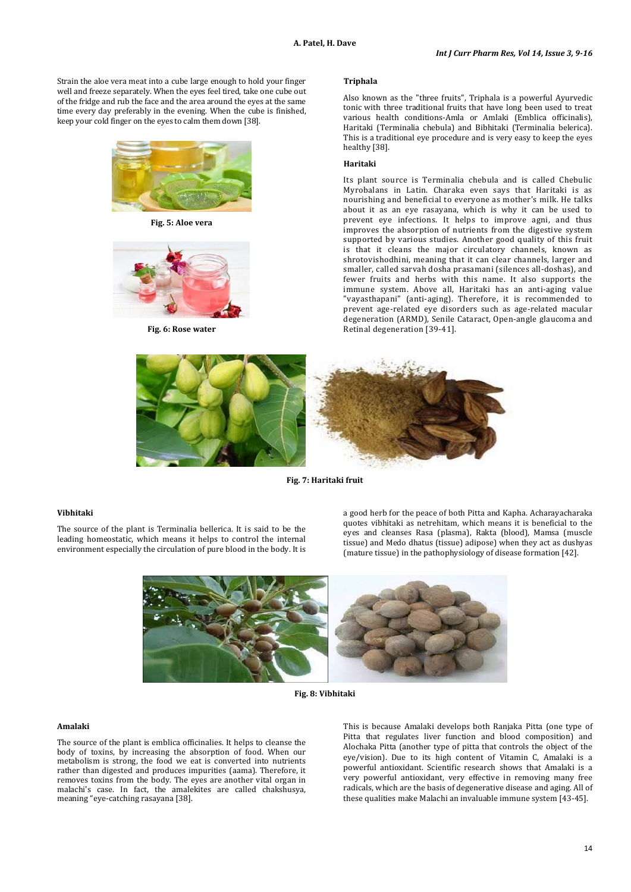Strain the aloe vera meat into a cube large enough to hold your finger well and freeze separately. When the eyes feel tired, take one cube out of the fridge and rub the face and the area around the eyes at the same time every day preferably in the evening. When the cube is finished, keep your cold finger on the eyes to calm them down [38].



**Fig. 5: Aloe vera**



**Fig. 6: Rose water**

## **Triphala**

Also known as the "three fruits", Triphala is a powerful Ayurvedic tonic with three traditional fruits that have long been used to treat various health conditions-Amla or Amlaki (Emblica officinalis), Haritaki (Terminalia chebula) and Bibhitaki (Terminalia belerica). This is a traditional eye procedure and is very easy to keep the eyes healthy [38].

### **Haritaki**

Its plant source is Terminalia chebula and is called Chebulic Myrobalans in Latin. Charaka even says that Haritaki is as nourishing and beneficial to everyone as mother's milk. He talks about it as an eye rasayana, which is why it can be used to prevent eye infections. It helps to improve agni, and thus improves the absorption of nutrients from the digestive system supported by various studies. Another good quality of this fruit is that it cleans the major circulatory channels, known as shrotovishodhini, meaning that it can clear channels, larger and smaller, called sarvah dosha prasamani (silences all-doshas), and fewer fruits and herbs with this name. It also supports the immune system. Above all, Haritaki has an anti-aging value "vayasthapani" (anti-aging). Therefore, it is recommended to prevent age-related eye disorders such as age-related macular degeneration (ARMD), Senile Cataract, Open-angle glaucoma and Retinal degeneration [39-41].



**Fig. 7: Haritaki fruit**

# **Vibhitaki**

The source of the plant is Terminalia bellerica. It is said to be the leading homeostatic, which means it helps to control the internal environment especially the circulation of pure blood in the body. It is a good herb for the peace of both Pitta and Kapha. Acharayacharaka quotes vibhitaki as netrehitam, which means it is beneficial to the eyes and cleanses Rasa (plasma), Rakta (blood), Mamsa (muscle tissue) and Medo dhatus (tissue) adipose) when they act as dushyas (mature tissue) in the pathophysiology of disease formation [42].



**Fig. 8: Vibhitaki**

# **Amalaki**

The source of the plant is emblica officinalies. It helps to cleanse the body of toxins, by increasing the absorption of food. When our metabolism is strong, the food we eat is converted into nutrients rather than digested and produces impurities (aama). Therefore, it removes toxins from the body. The eyes are another vital organ in malachi's case. In fact, the amalekites are called chakshusya, meaning "eye-catching rasayana [38].

This is because Amalaki develops both Ranjaka Pitta (one type of Pitta that regulates liver function and blood composition) and Alochaka Pitta (another type of pitta that controls the object of the eye/vision). Due to its high content of Vitamin C, Amalaki is a powerful antioxidant. Scientific research shows that Amalaki is a very powerful antioxidant, very effective in removing many free radicals, which are the basis of degenerative disease and aging. All of these qualities make Malachi an invaluable immune system [43-45].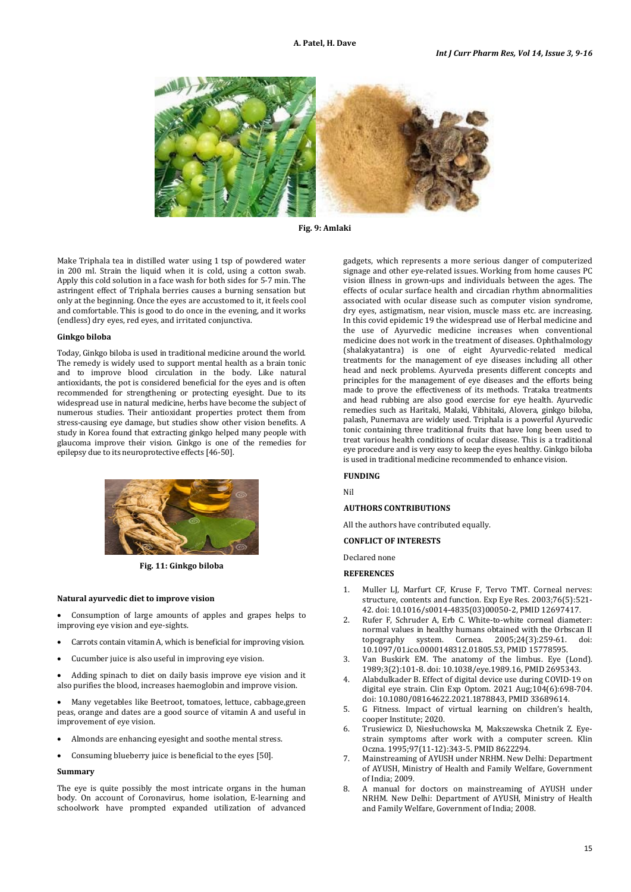

**Fig. 9: Amlaki**

Make Triphala tea in distilled water using 1 tsp of powdered water in 200 ml. Strain the liquid when it is cold, using a cotton swab. Apply this cold solution in a face wash for both sides for 5-7 min. The astringent effect of Triphala berries causes a burning sensation but only at the beginning. Once the eyes are accustomed to it, it feels cool and comfortable. This is good to do once in the evening, and it works (endless) dry eyes, red eyes, and irritated conjunctiva.

# **Ginkgo biloba**

Today, Ginkgo biloba is used in traditional medicine around the world. The remedy is widely used to support mental health as a brain tonic and to improve blood circulation in the body. Like natural antioxidants, the pot is considered beneficial for the eyes and is often recommended for strengthening or protecting eyesight. Due to its widespread use in natural medicine, herbs have become the subject of numerous studies. Their antioxidant properties protect them from stress-causing eye damage, but studies show other vision benefits. A study in Korea found that extracting ginkgo helped many people with glaucoma improve their vision. Ginkgo is one of the remedies for epilepsy due to its neuroprotective effects [46-50].



**Fig. 11: Ginkgo biloba**

### **Natural ayurvedic diet to improve vision**

• Consumption of large amounts of apples and grapes helps to improving eye vision and eye-sights.

- Carrots contain vitamin A, which is beneficial for improving vision.
- Cucumber juice is also useful in improving eye vision.

• Adding spinach to diet on daily basis improve eye vision and it also purifies the blood, increases haemoglobin and improve vision.

• Many vegetables like Beetroot, tomatoes, lettuce, cabbage,green peas, orange and dates are a good source of vitamin A and useful in improvement of eye vision.

- Almonds are enhancing eyesight and soothe mental stress.
- Consuming blueberry juice is beneficial to the eyes [50].

# **Summary**

The eye is quite possibly the most intricate organs in the human body. On account of Coronavirus, home isolation, E-learning and schoolwork have prompted expanded utilization of advanced

gadgets, which represents a more serious danger of computerized signage and other eye-related issues. Working from home causes PC vision illness in grown-ups and individuals between the ages. The effects of ocular surface health and circadian rhythm abnormalities associated with ocular disease such as computer vision syndrome, dry eyes, astigmatism, near vision, muscle mass etc. are increasing. In this covid epidemic 19 the widespread use of Herbal medicine and the use of Ayurvedic medicine increases when conventional medicine does not work in the treatment of diseases. Ophthalmology (shalakyatantra) is one of eight Ayurvedic-related medical treatments for the management of eye diseases including all other head and neck problems. Ayurveda presents different concepts and principles for the management of eye diseases and the efforts being made to prove the effectiveness of its methods. Trataka treatments and head rubbing are also good exercise for eye health. Ayurvedic remedies such as Haritaki, Malaki, Vibhitaki, Alovera, ginkgo biloba, palash, Punernava are widely used. Triphala is a powerful Ayurvedic tonic containing three traditional fruits that have long been used to treat various health conditions of ocular disease. This is a traditional eye procedure and is very easy to keep the eyes healthy. Ginkgo biloba is used in traditional medicine recommended to enhance vision.

#### **FUNDING**

Nil

## **AUTHORS CONTRIBUTIONS**

All the authors have contributed equally.

# **CONFLICT OF INTERESTS**

Declared none

**REFERENCES**

- 1. Muller LJ, Marfurt CF, Kruse F, Tervo TMT. Corneal nerves: structure, contents and function. Exp Eye Res. 2003;76(5):521- 42. doi[: 10.1016/s0014-4835\(03\)00050-2,](https://doi.org/10.1016/s0014-4835(03)00050-2) PMI[D 12697417.](https://www.ncbi.nlm.nih.gov/pubmed/12697417)
- 2. Rufer F, Schruder A, Erb C. White-to-white corneal diameter: normal values in healthy humans obtained with the Orbscan II<br>tonography system Cornea 2005:24(3):259-61 doi: topography system. Cornea.  $2005;24(3):259-61$ . [10.1097/01.ico.0000148312.01805.53,](https://doi.org/10.1097/01.ico.0000148312.01805.53) PMI[D 15778595.](https://www.ncbi.nlm.nih.gov/pubmed/15778595)
- Van Buskirk EM. The anatomy of the limbus. Eye (Lond). 1989;3(2):101-8. doi[: 10.1038/eye.1989.16,](https://doi.org/10.1038/eye.1989.16) PMID [2695343.](https://www.ncbi.nlm.nih.gov/pubmed/2695343)
- 4. Alabdulkader B. Effect of digital device use during COVID-19 on digital eye strain. Clin Exp Optom. 2021 Aug;104(6):698-704. doi[: 10.1080/08164622.2021.1878843,](https://doi.org/10.1080/08164622.2021.1878843) PMID [33689614.](https://www.ncbi.nlm.nih.gov/pubmed/33689614)
- 5. G Fitness. Impact of virtual learning on children's health, cooper Institute; 2020.
- 6. Trusiewicz D, Niesłuchowska M, Makszewska Chetnik Z. Eyestrain symptoms after work with a computer screen. Klin Oczna. 1995;97(11-12):343-5. PMI[D 8622294.](https://www.ncbi.nlm.nih.gov/pubmed/8622294)
- 7. Mainstreaming of AYUSH under NRHM. New Delhi: Department of AYUSH, Ministry of Health and Family Welfare, Government of India; 2009.
- 8. A manual for doctors on mainstreaming of AYUSH under NRHM. New Delhi: Department of AYUSH, Ministry of Health and Family Welfare, Government of India; 2008.